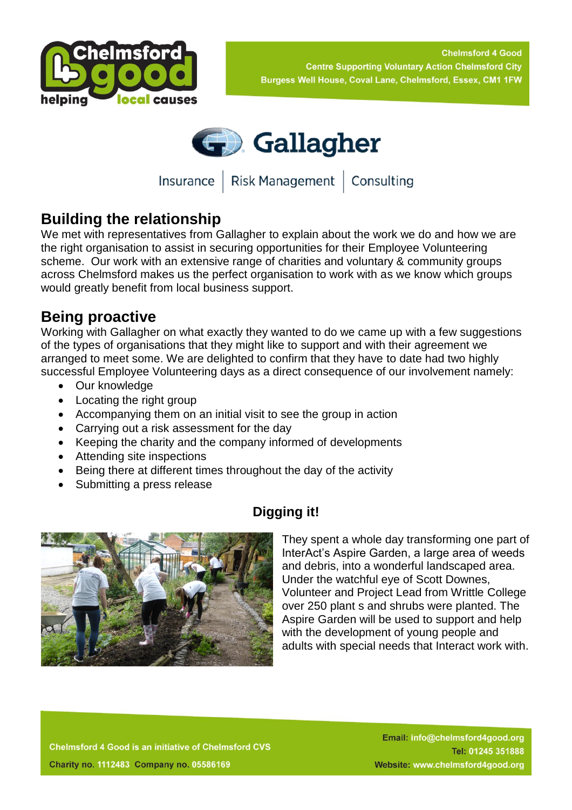



Insurance | Risk Management | Consulting

**Building the relationship**

We met with representatives from Gallagher to explain about the work we do and how we are the right organisation to assist in securing opportunities for their Employee Volunteering scheme. Our work with an extensive range of charities and voluntary & community groups across Chelmsford makes us the perfect organisation to work with as we know which groups would greatly benefit from local business support.

## **Being proactive**

Working with Gallagher on what exactly they wanted to do we came up with a few suggestions of the types of organisations that they might like to support and with their agreement we arranged to meet some. We are delighted to confirm that they have to date had two highly successful Employee Volunteering days as a direct consequence of our involvement namely:

- Our knowledge
- Locating the right group
- Accompanying them on an initial visit to see the group in action
- Carrying out a risk assessment for the day
- Keeping the charity and the company informed of developments
- Attending site inspections
- Being there at different times throughout the day of the activity
- Submitting a press release



## **Digging it!**

They spent a whole day transforming one part of InterAct's Aspire Garden, a large area of weeds and debris, into a wonderful landscaped area. Under the watchful eye of Scott Downes, Volunteer and Project Lead from Writtle College over 250 plant s and shrubs were planted. The Aspire Garden will be used to support and help with the development of young people and adults with special needs that Interact work with.

**Chelmsford 4 Good is an initiative of Chelmsford CVS Charity no. 1112483 Company no. 05586169** 

Email: info@chelmsford4good.org Tel: 01245 351888 Website: www.chelmsford4good.org